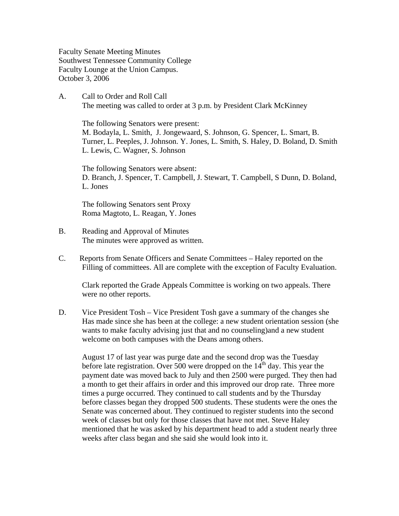Faculty Senate Meeting Minutes Southwest Tennessee Community College Faculty Lounge at the Union Campus. October 3, 2006

A. Call to Order and Roll Call The meeting was called to order at 3 p.m. by President Clark McKinney

 The following Senators were present: M. Bodayla, L. Smith, J. Jongewaard, S. Johnson, G. Spencer, L. Smart, B. Turner, L. Peeples, J. Johnson. Y. Jones, L. Smith, S. Haley, D. Boland, D. Smith L. Lewis, C. Wagner, S. Johnson

The following Senators were absent: D. Branch, J. Spencer, T. Campbell, J. Stewart, T. Campbell, S Dunn, D. Boland, L. Jones

The following Senators sent Proxy Roma Magtoto, L. Reagan, Y. Jones

- B. Reading and Approval of Minutes The minutes were approved as written.
- C. Reports from Senate Officers and Senate Committees Haley reported on the Filling of committees. All are complete with the exception of Faculty Evaluation.

Clark reported the Grade Appeals Committee is working on two appeals. There were no other reports.

D. Vice President Tosh – Vice President Tosh gave a summary of the changes she Has made since she has been at the college: a new student orientation session (she wants to make faculty advising just that and no counseling)and a new student welcome on both campuses with the Deans among others.

August 17 of last year was purge date and the second drop was the Tuesday before late registration. Over 500 were dropped on the  $14<sup>th</sup>$  day. This year the payment date was moved back to July and then 2500 were purged. They then had a month to get their affairs in order and this improved our drop rate. Three more times a purge occurred. They continued to call students and by the Thursday before classes began they dropped 500 students. These students were the ones the Senate was concerned about. They continued to register students into the second week of classes but only for those classes that have not met. Steve Haley mentioned that he was asked by his department head to add a student nearly three weeks after class began and she said she would look into it.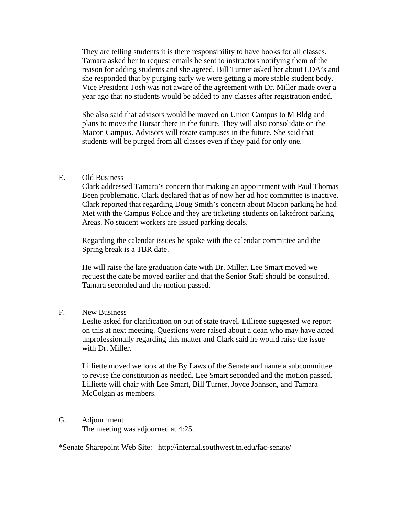They are telling students it is there responsibility to have books for all classes. Tamara asked her to request emails be sent to instructors notifying them of the reason for adding students and she agreed. Bill Turner asked her about LDA's and she responded that by purging early we were getting a more stable student body. Vice President Tosh was not aware of the agreement with Dr. Miller made over a year ago that no students would be added to any classes after registration ended.

She also said that advisors would be moved on Union Campus to M Bldg and plans to move the Bursar there in the future. They will also consolidate on the Macon Campus. Advisors will rotate campuses in the future. She said that students will be purged from all classes even if they paid for only one.

## E. Old Business

 Clark addressed Tamara's concern that making an appointment with Paul Thomas Been problematic. Clark declared that as of now her ad hoc committee is inactive. Clark reported that regarding Doug Smith's concern about Macon parking he had Met with the Campus Police and they are ticketing students on lakefront parking Areas. No student workers are issued parking decals.

Regarding the calendar issues he spoke with the calendar committee and the Spring break is a TBR date.

He will raise the late graduation date with Dr. Miller. Lee Smart moved we request the date be moved earlier and that the Senior Staff should be consulted. Tamara seconded and the motion passed.

F. New Business

Leslie asked for clarification on out of state travel. Lilliette suggested we report on this at next meeting. Questions were raised about a dean who may have acted unprofessionally regarding this matter and Clark said he would raise the issue with Dr. Miller.

Lilliette moved we look at the By Laws of the Senate and name a subcommittee to revise the constitution as needed. Lee Smart seconded and the motion passed. Lilliette will chair with Lee Smart, Bill Turner, Joyce Johnson, and Tamara McColgan as members.

G. Adjournment The meeting was adjourned at 4:25.

\*Senate Sharepoint Web Site: http://internal.southwest.tn.edu/fac-senate/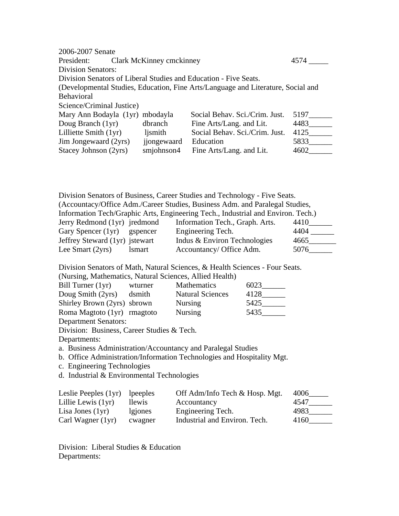| 2006-2007 Senate                |                                  |                                                                                  |      |
|---------------------------------|----------------------------------|----------------------------------------------------------------------------------|------|
| President:                      | Clark McKinney cmckinney<br>4574 |                                                                                  |      |
| <b>Division Senators:</b>       |                                  |                                                                                  |      |
|                                 |                                  | Division Senators of Liberal Studies and Education - Five Seats.                 |      |
|                                 |                                  | (Developmental Studies, Education, Fine Arts/Language and Literature, Social and |      |
| <b>Behavioral</b>               |                                  |                                                                                  |      |
| Science/Criminal Justice)       |                                  |                                                                                  |      |
| Mary Ann Bodayla (1yr) mbodayla |                                  | Social Behav. Sci./Crim. Just.                                                   | 5197 |
| Doug Branch (1yr)               | dbranch                          | Fine Arts/Lang. and Lit.                                                         | 4483 |
| Lilliette Smith (1yr)           | ljsmith                          | Social Behav. Sci./Crim. Just.                                                   | 4125 |
| Jim Jongewaard (2yrs)           | jjongewaard                      | Education                                                                        | 5833 |
| Stacey Johnson (2yrs)           | smjohnson4                       | Fine Arts/Lang. and Lit.                                                         | 4602 |

Division Senators of Business, Career Studies and Technology - Five Seats. (Accountacy/Office Adm./Career Studies, Business Adm. and Paralegal Studies, Information Tech/Graphic Arts, Engineering Tech., Industrial and Environ. Tech.) Jerry Redmond (1yr) jredmond Information Tech., Graph. Arts. 4410\_\_\_\_\_\_ Gary Spencer (1yr) gspencer Engineering Tech. 4404 \_\_\_\_\_\_ Jeffrey Steward (1yr) jstewart Indus & Environ Technologies 4665\_\_\_\_\_\_\_\_\_ Lee Smart (2yrs) lsmart Accountancy/ Office Adm. 5076\_\_\_\_\_\_

Division Senators of Math, Natural Sciences, & Health Sciences - Four Seats.

(Nursing, Mathematics, Natural Sciences, Allied Health)

| Bill Turner $(1yr)$         | wturner | <b>Mathematics</b>      | 6023 |
|-----------------------------|---------|-------------------------|------|
| Doug Smith (2yrs)           | dsmith  | <b>Natural Sciences</b> | 4128 |
| Shirley Brown (2yrs) sbrown |         | <b>Nursing</b>          | 5425 |
| Roma Magtoto (1yr) rmagtoto |         | <b>Nursing</b>          | 5435 |
| <b>Department Senators:</b> |         |                         |      |

Division: Business, Career Studies & Tech.

Departments:

a. Business Administration/Accountancy and Paralegal Studies

b. Office Administration/Information Technologies and Hospitality Mgt.

c. Engineering Technologies

d. Industrial & Environmental Technologies

| Leslie Peeples $(1yr)$ lpeeples |         | Off Adm/Info Tech & Hosp. Mgt. | 4006 |
|---------------------------------|---------|--------------------------------|------|
| Lillie Lewis $(1yr)$            | llewis  | Accountancy                    | 4547 |
| Lisa Jones $(1yr)$              | lgiones | Engineering Tech.              | 4983 |
| Carl Wagner (1yr)               | cwagner | Industrial and Environ. Tech.  | 4160 |

Division: Liberal Studies & Education Departments: